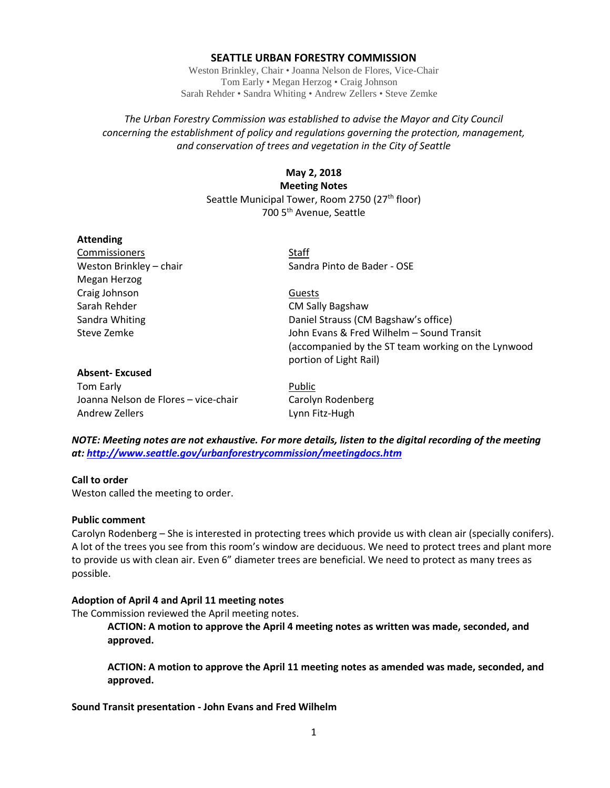### **SEATTLE URBAN FORESTRY COMMISSION**

Weston Brinkley, Chair • Joanna Nelson de Flores, Vice-Chair Tom Early • Megan Herzog • Craig Johnson Sarah Rehder • Sandra Whiting • Andrew Zellers • Steve Zemke

# *The Urban Forestry Commission was established to advise the Mayor and City Council concerning the establishment of policy and regulations governing the protection, management, and conservation of trees and vegetation in the City of Seattle*

# **May 2, 2018 Meeting Notes** Seattle Municipal Tower, Room 2750 (27<sup>th</sup> floor) 700 5th Avenue, Seattle

#### **Attending**

Commissioners Staff Megan Herzog Craig Johnson Guests Sarah Rehder CM Sally Bagshaw

Weston Brinkley – chair Sandra Pinto de Bader - OSE

Sandra Whiting Daniel Strauss (CM Bagshaw's office) Steve Zemke John Evans & Fred Wilhelm – Sound Transit (accompanied by the ST team working on the Lynwood portion of Light Rail)

# **Absent- Excused** Tom Early **Public** Joanna Nelson de Flores – vice-chair Carolyn Rodenberg Andrew Zellers **Lynn** Fitz-Hugh

*NOTE: Meeting notes are not exhaustive. For more details, listen to the digital recording of the meeting at:<http://www.seattle.gov/urbanforestrycommission/meetingdocs.htm>*

# **Call to order**

Weston called the meeting to order.

#### **Public comment**

Carolyn Rodenberg – She is interested in protecting trees which provide us with clean air (specially conifers). A lot of the trees you see from this room's window are deciduous. We need to protect trees and plant more to provide us with clean air. Even 6" diameter trees are beneficial. We need to protect as many trees as possible.

# **Adoption of April 4 and April 11 meeting notes**

The Commission reviewed the April meeting notes.

**ACTION: A motion to approve the April 4 meeting notes as written was made, seconded, and approved.**

**ACTION: A motion to approve the April 11 meeting notes as amended was made, seconded, and approved.**

# **Sound Transit presentation - John Evans and Fred Wilhelm**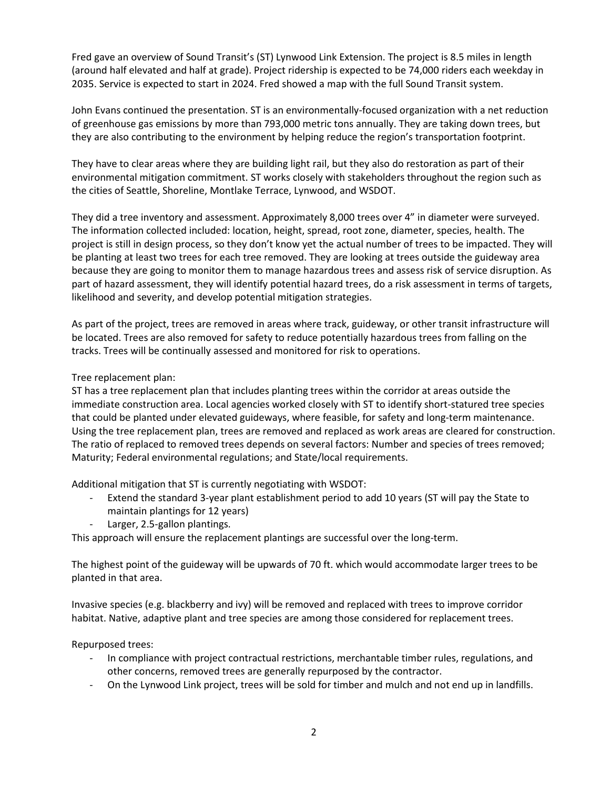Fred gave an overview of Sound Transit's (ST) Lynwood Link Extension. The project is 8.5 miles in length (around half elevated and half at grade). Project ridership is expected to be 74,000 riders each weekday in 2035. Service is expected to start in 2024. Fred showed a map with the full Sound Transit system.

John Evans continued the presentation. ST is an environmentally-focused organization with a net reduction of greenhouse gas emissions by more than 793,000 metric tons annually. They are taking down trees, but they are also contributing to the environment by helping reduce the region's transportation footprint.

They have to clear areas where they are building light rail, but they also do restoration as part of their environmental mitigation commitment. ST works closely with stakeholders throughout the region such as the cities of Seattle, Shoreline, Montlake Terrace, Lynwood, and WSDOT.

They did a tree inventory and assessment. Approximately 8,000 trees over 4" in diameter were surveyed. The information collected included: location, height, spread, root zone, diameter, species, health. The project is still in design process, so they don't know yet the actual number of trees to be impacted. They will be planting at least two trees for each tree removed. They are looking at trees outside the guideway area because they are going to monitor them to manage hazardous trees and assess risk of service disruption. As part of hazard assessment, they will identify potential hazard trees, do a risk assessment in terms of targets, likelihood and severity, and develop potential mitigation strategies.

As part of the project, trees are removed in areas where track, guideway, or other transit infrastructure will be located. Trees are also removed for safety to reduce potentially hazardous trees from falling on the tracks. Trees will be continually assessed and monitored for risk to operations.

Tree replacement plan:

ST has a tree replacement plan that includes planting trees within the corridor at areas outside the immediate construction area. Local agencies worked closely with ST to identify short-statured tree species that could be planted under elevated guideways, where feasible, for safety and long-term maintenance. Using the tree replacement plan, trees are removed and replaced as work areas are cleared for construction. The ratio of replaced to removed trees depends on several factors: Number and species of trees removed; Maturity; Federal environmental regulations; and State/local requirements.

Additional mitigation that ST is currently negotiating with WSDOT:

- Extend the standard 3-year plant establishment period to add 10 years (ST will pay the State to maintain plantings for 12 years)
- Larger, 2.5-gallon plantings.

This approach will ensure the replacement plantings are successful over the long-term.

The highest point of the guideway will be upwards of 70 ft. which would accommodate larger trees to be planted in that area.

Invasive species (e.g. blackberry and ivy) will be removed and replaced with trees to improve corridor habitat. Native, adaptive plant and tree species are among those considered for replacement trees.

Repurposed trees:

- In compliance with project contractual restrictions, merchantable timber rules, regulations, and other concerns, removed trees are generally repurposed by the contractor.
- On the Lynwood Link project, trees will be sold for timber and mulch and not end up in landfills.